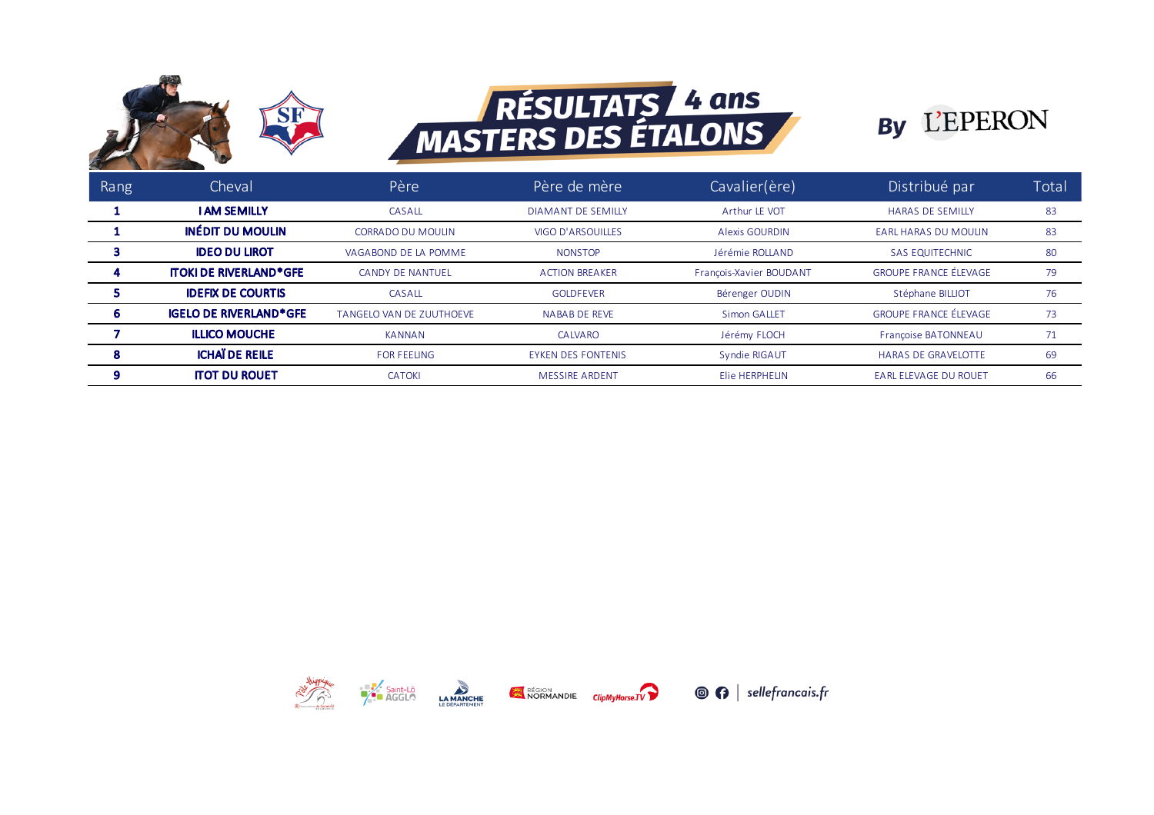

## RÉSULTATS 4 ans



| Rang | Cheval                        | Père                     | Père de mère              | Cavalier(ère)           | Distribué par                | Total |
|------|-------------------------------|--------------------------|---------------------------|-------------------------|------------------------------|-------|
|      | <b>I AM SEMILLY</b>           | CASALL                   | <b>DIAMANT DE SEMILLY</b> | Arthur LE VOT           | <b>HARAS DE SEMILLY</b>      | 83    |
|      | <b>INÉDIT DU MOULIN</b>       | <b>CORRADO DU MOULIN</b> | VIGO D'ARSOUILLES         | <b>Alexis GOURDIN</b>   | <b>EARL HARAS DU MOULIN</b>  | 83    |
|      | <b>IDEO DU LIROT</b>          | VAGABOND DE LA POMME     | <b>NONSTOP</b>            | Jérémie ROLLAND         | <b>SAS EQUITECHNIC</b>       | 80    |
|      | <b>ITOKI DE RIVERLAND*GFE</b> | <b>CANDY DE NANTUEL</b>  | <b>ACTION BREAKER</b>     | François-Xavier BOUDANT | <b>GROUPE FRANCE ÉLEVAGE</b> | 79    |
|      | <b>IDEFIX DE COURTIS</b>      | CASALL                   | <b>GOI DEFVER</b>         | Bérenger OUDIN          | Stéphane BILLIOT             | 76    |
|      | <b>IGELO DE RIVERLAND*GFE</b> | TANGELO VAN DE ZUUTHOEVE | <b>NABAB DE REVE</b>      | <b>Simon GALLET</b>     | <b>GROUPF FRANCE FIFVAGE</b> | 73    |
|      | <b>ILLICO MOUCHE</b>          | <b>KANNAN</b>            | CALVARO                   | Jérémy FLOCH            | Françoise BATONNEAU          | 71    |
|      | <b>ICHAÏ DE REILE</b>         | <b>FOR FEELING</b>       | <b>EYKEN DES FONTENIS</b> | Syndie RIGAUT           | <b>HARAS DE GRAVELOTTE</b>   | 69    |
| 9    | <b>ITOT DU ROUET</b>          | <b>CATOKI</b>            | <b>MESSIRE ARDENT</b>     | Elie HERPHELIN          | <b>EARL ELEVAGE DU ROUET</b> | 66    |







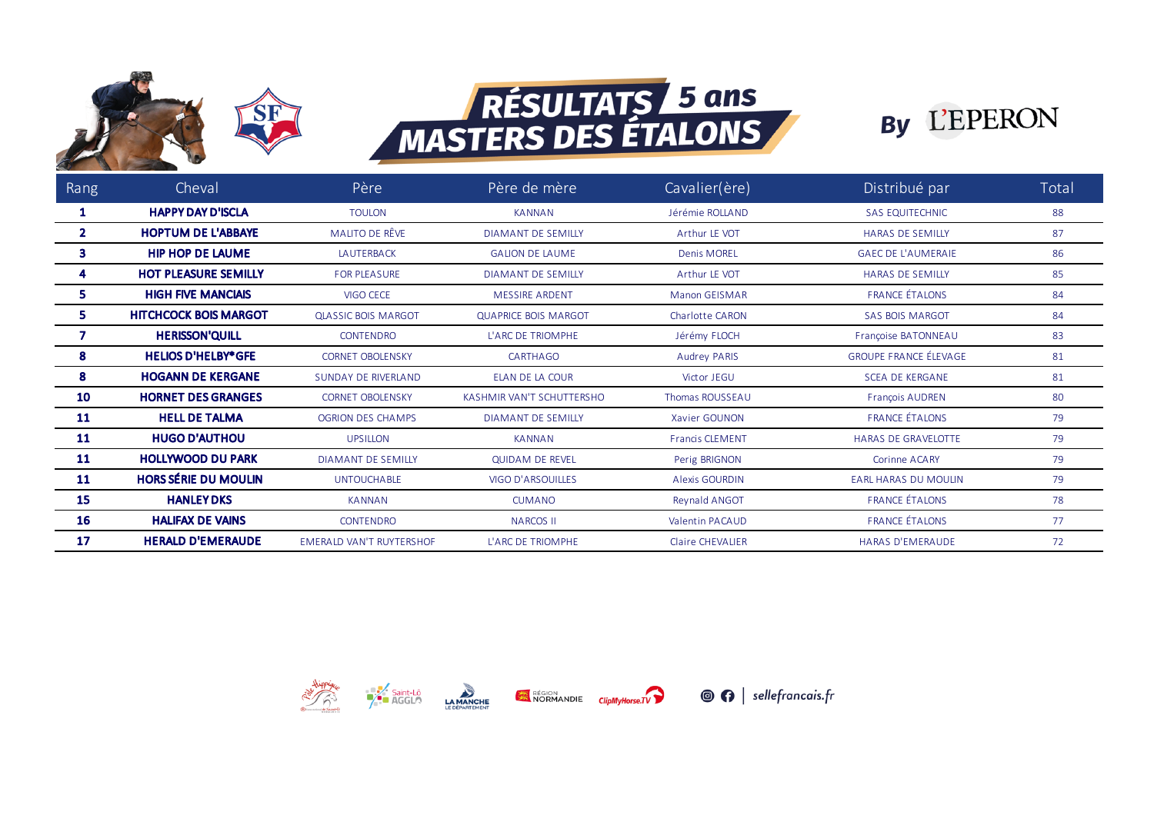

## **RÉSULTATS 5 ans<br>MASTERS DES ÉTALONS**



| Rang         | Cheval                       | Père                            | Père de mère                | Cavalier(ère)          | Distribué par                | Total |
|--------------|------------------------------|---------------------------------|-----------------------------|------------------------|------------------------------|-------|
|              | <b>HAPPY DAY D'ISCLA</b>     | <b>TOULON</b>                   | <b>KANNAN</b>               | Jérémie ROLLAND        | <b>SAS EQUITECHNIC</b>       | 88    |
| $\mathbf{2}$ | <b>HOPTUM DE L'ABBAYE</b>    | MALITO DE RÊVE                  | <b>DIAMANT DE SEMILLY</b>   | Arthur LE VOT          | <b>HARAS DE SEMILLY</b>      | 87    |
| 3            | <b>HIP HOP DE LAUME</b>      | <b>LAUTERBACK</b>               | <b>GALION DE LAUME</b>      | <b>Denis MOREL</b>     | <b>GAEC DE L'AUMERAIE</b>    | 86    |
|              | <b>HOT PLEASURE SEMILLY</b>  | <b>FOR PLEASURE</b>             | <b>DIAMANT DE SEMILLY</b>   | Arthur LE VOT          | <b>HARAS DE SEMILLY</b>      | 85    |
| 5.           | <b>HIGH FIVE MANCIAIS</b>    | VIGO CECE                       | <b>MESSIRE ARDENT</b>       | Manon GEISMAR          | <b>FRANCE ÉTALONS</b>        | 84    |
| 5.           | <b>HITCHCOCK BOIS MARGOT</b> | <b>QLASSIC BOIS MARGOT</b>      | <b>QUAPRICE BOIS MARGOT</b> | Charlotte CARON        | <b>SAS BOIS MARGOT</b>       | 84    |
|              | <b>HERISSON'QUILL</b>        | <b>CONTENDRO</b>                | L'ARC DE TRIOMPHE           | Jérémy FLOCH           | Françoise BATONNEAU          | 83    |
| 8            | <b>HELIOS D'HELBY*GFE</b>    | <b>CORNET OBOLENSKY</b>         | <b>CARTHAGO</b>             | <b>Audrey PARIS</b>    | <b>GROUPE FRANCE ÉLEVAGE</b> | 81    |
| 8            | <b>HOGANN DE KERGANE</b>     | <b>SUNDAY DE RIVERLAND</b>      | ELAN DE LA COUR             | Victor JEGU            | <b>SCEA DE KERGANE</b>       | 81    |
| 10           | <b>HORNET DES GRANGES</b>    | <b>CORNET OBOLENSKY</b>         | KASHMIR VAN'T SCHUTTERSHO   | Thomas ROUSSEAU        | <b>François AUDREN</b>       | 80    |
| 11           | <b>HELL DE TALMA</b>         | <b>OGRION DES CHAMPS</b>        | <b>DIAMANT DE SEMILLY</b>   | Xavier GOUNON          | <b>FRANCE ÉTALONS</b>        | 79    |
| 11           | <b>HUGO D'AUTHOU</b>         | <b>UPSILLON</b>                 | <b>KANNAN</b>               | <b>Francis CLEMENT</b> | <b>HARAS DE GRAVELOTTE</b>   | 79    |
| 11           | <b>HOLLYWOOD DU PARK</b>     | <b>DIAMANT DE SEMILLY</b>       | <b>QUIDAM DE REVEL</b>      | Perig BRIGNON          | <b>Corinne ACARY</b>         | 79    |
| 11           | <b>HORS SÉRIE DU MOULIN</b>  | <b>UNTOUCHABLE</b>              | <b>VIGO D'ARSOUILLES</b>    | <b>Alexis GOURDIN</b>  | <b>EARL HARAS DU MOULIN</b>  | 79    |
| 15           | <b>HANLEY DKS</b>            | <b>KANNAN</b>                   | <b>CUMANO</b>               | Reynald ANGOT          | <b>FRANCE ÉTALONS</b>        | 78    |
| 16           | <b>HALIFAX DE VAINS</b>      | <b>CONTENDRO</b>                | <b>NARCOS II</b>            | <b>Valentin PACAUD</b> | <b>FRANCE ÉTALONS</b>        | 77    |
| 17           | <b>HERALD D'EMERAUDE</b>     | <b>EMERALD VAN'T RUYTERSHOF</b> | L'ARC DE TRIOMPHE           | Claire CHEVALLER       | <b>HARAS D'EMERAUDE</b>      | 72    |